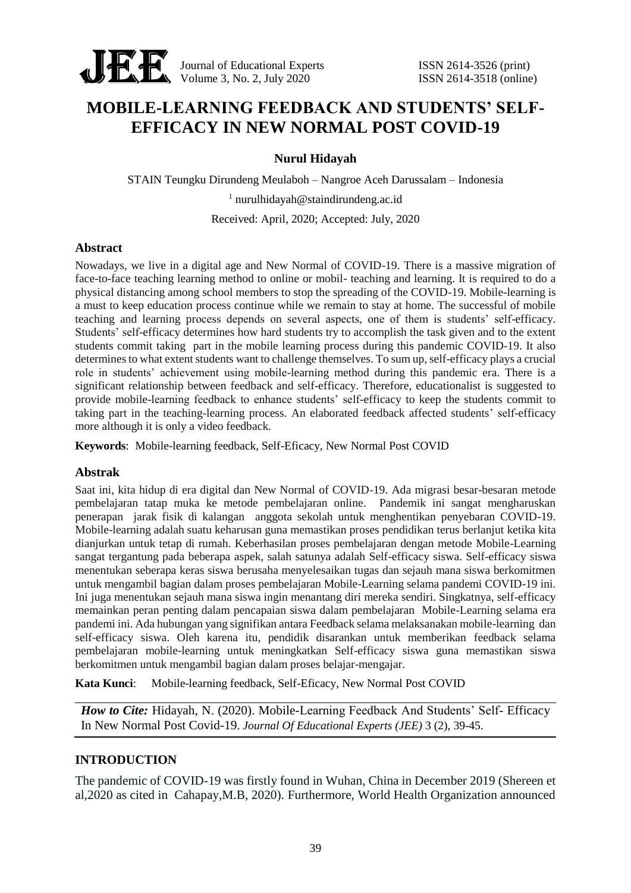

Journal of Educational Experts ISSN 2614-3526 (print) Volume 3, No. 2, July 2020<br>
Volume 3, No. 2, July 2020<br>
ISSN 2614-3518 (online)

# **MOBILE-LEARNING FEEDBACK AND STUDENTS' SELF-EFFICACY IN NEW NORMAL POST COVID-19**

## **Nurul Hidayah**

STAIN Teungku Dirundeng Meulaboh – Nangroe Aceh Darussalam – Indonesia

 $1$  nurulhidayah@staindirundeng.ac.id

Received: April, 2020; Accepted: July, 2020

## **Abstract**

Nowadays, we live in a digital age and New Normal of COVID-19. There is a massive migration of face-to-face teaching learning method to online or mobil- teaching and learning. It is required to do a physical distancing among school members to stop the spreading of the COVID-19. Mobile-learning is a must to keep education process continue while we remain to stay at home. The successful of mobile teaching and learning process depends on several aspects, one of them is students' self-efficacy. Students' self-efficacy determines how hard students try to accomplish the task given and to the extent students commit taking part in the mobile learning process during this pandemic COVID-19. It also determines to what extent students want to challenge themselves. To sum up, self-efficacy plays a crucial role in students' achievement using mobile-learning method during this pandemic era. There is a significant relationship between feedback and self-efficacy. Therefore, educationalist is suggested to provide mobile-learning feedback to enhance students' self-efficacy to keep the students commit to taking part in the teaching-learning process. An elaborated feedback affected students' self-efficacy more although it is only a video feedback.

**Keywords**: Mobile-learning feedback, Self-Eficacy, New Normal Post COVID

## **Abstrak**

Saat ini, kita hidup di era digital dan New Normal of COVID-19. Ada migrasi besar-besaran metode pembelajaran tatap muka ke metode pembelajaran online. Pandemik ini sangat mengharuskan penerapan jarak fisik di kalangan anggota sekolah untuk menghentikan penyebaran COVID-19. Mobile-learning adalah suatu keharusan guna memastikan proses pendidikan terus berlanjut ketika kita dianjurkan untuk tetap di rumah. Keberhasilan proses pembelajaran dengan metode Mobile-Learning sangat tergantung pada beberapa aspek, salah satunya adalah Self-efficacy siswa. Self-efficacy siswa menentukan seberapa keras siswa berusaha menyelesaikan tugas dan sejauh mana siswa berkomitmen untuk mengambil bagian dalam proses pembelajaran Mobile-Learning selama pandemi COVID-19 ini. Ini juga menentukan sejauh mana siswa ingin menantang diri mereka sendiri. Singkatnya, self-efficacy memainkan peran penting dalam pencapaian siswa dalam pembelajaran Mobile-Learning selama era pandemi ini. Ada hubungan yang signifikan antara Feedback selama melaksanakan mobile-learning dan self-efficacy siswa. Oleh karena itu, pendidik disarankan untuk memberikan feedback selama pembelajaran mobile-learning untuk meningkatkan Self-efficacy siswa guna memastikan siswa berkomitmen untuk mengambil bagian dalam proses belajar-mengajar.

**Kata Kunci**: Mobile-learning feedback, Self-Eficacy, New Normal Post COVID

*How to Cite:* Hidayah, N. (2020). Mobile-Learning Feedback And Students' Self- Efficacy In New Normal Post Covid-19. *Journal Of Educational Experts (JEE)* 3 (2), 39-45.

## **INTRODUCTION**

The pandemic of COVID-19 was firstly found in Wuhan, China in December 2019 (Shereen et al,2020 as cited in Cahapay,M.B, 2020). Furthermore, World Health Organization announced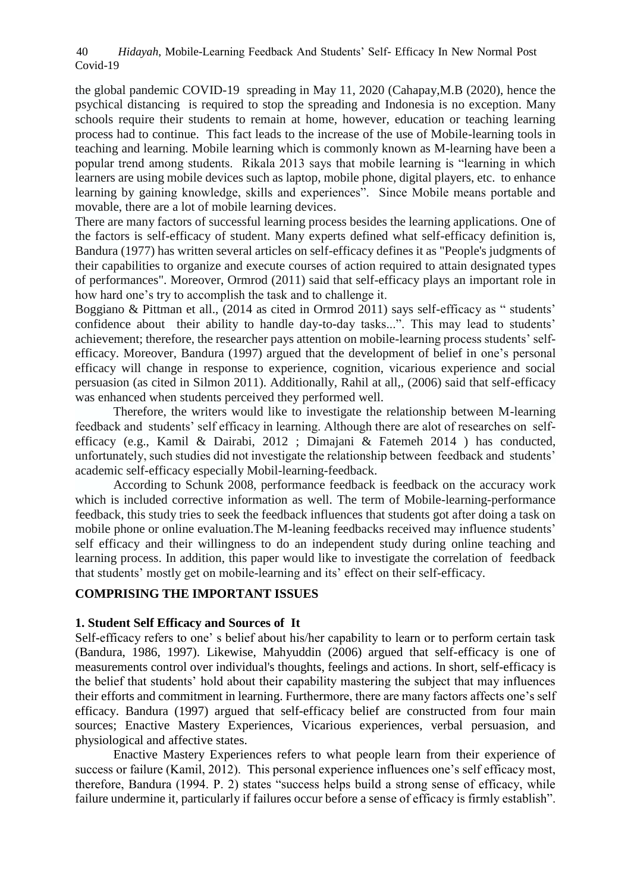*Hidayah*, Mobile-Learning Feedback And Students' Self- Efficacy In New Normal Post Covid-19 40

the global pandemic COVID-19 spreading in May 11, 2020 (Cahapay,M.B (2020), hence the psychical distancing is required to stop the spreading and Indonesia is no exception. Many schools require their students to remain at home, however, education or teaching learning process had to continue. This fact leads to the increase of the use of Mobile-learning tools in teaching and learning. Mobile learning which is commonly known as M-learning have been a popular trend among students. Rikala 2013 says that mobile learning is "learning in which learners are using mobile devices such as laptop, mobile phone, digital players, etc. to enhance learning by gaining knowledge, skills and experiences". Since Mobile means portable and movable, there are a lot of mobile learning devices.

There are many factors of successful learning process besides the learning applications. One of the factors is self-efficacy of student. Many experts defined what self-efficacy definition is, Bandura (1977) has written several articles on self-efficacy defines it as "People's judgments of their capabilities to organize and execute courses of action required to attain designated types of performances". Moreover, Ormrod (2011) said that self-efficacy plays an important role in how hard one's try to accomplish the task and to challenge it.

Boggiano & Pittman et all., (2014 as cited in Ormrod 2011) says self-efficacy as " students' confidence about their ability to handle day-to-day tasks...". This may lead to students' achievement; therefore, the researcher pays attention on mobile-learning process students' selfefficacy. Moreover, Bandura (1997) argued that the development of belief in one's personal efficacy will change in response to experience, cognition, vicarious experience and social persuasion (as cited in Silmon 2011). Additionally, Rahil at all,, (2006) said that self-efficacy was enhanced when students perceived they performed well.

Therefore, the writers would like to investigate the relationship between M-learning feedback and students' self efficacy in learning. Although there are alot of researches on selfefficacy (e.g., Kamil & Dairabi, 2012 ; Dimajani & Fatemeh 2014 ) has conducted, unfortunately, such studies did not investigate the relationship between feedback and students' academic self-efficacy especially Mobil-learning-feedback.

According to Schunk 2008, performance feedback is feedback on the accuracy work which is included corrective information as well. The term of Mobile-learning-performance feedback, this study tries to seek the feedback influences that students got after doing a task on mobile phone or online evaluation.The M-leaning feedbacks received may influence students' self efficacy and their willingness to do an independent study during online teaching and learning process. In addition, this paper would like to investigate the correlation of feedback that students' mostly get on mobile-learning and its' effect on their self-efficacy.

## **COMPRISING THE IMPORTANT ISSUES**

### **1. Student Self Efficacy and Sources of It**

Self-efficacy refers to one' s belief about his/her capability to learn or to perform certain task (Bandura, 1986, 1997). Likewise, Mahyuddin (2006) argued that self-efficacy is one of measurements control over individual's thoughts, feelings and actions. In short, self-efficacy is the belief that students' hold about their capability mastering the subject that may influences their efforts and commitment in learning. Furthermore, there are many factors affects one's self efficacy. Bandura (1997) argued that self-efficacy belief are constructed from four main sources; Enactive Mastery Experiences, Vicarious experiences, verbal persuasion, and physiological and affective states.

Enactive Mastery Experiences refers to what people learn from their experience of success or failure (Kamil, 2012). This personal experience influences one's self efficacy most, therefore, Bandura (1994. P. 2) states "success helps build a strong sense of efficacy, while failure undermine it, particularly if failures occur before a sense of efficacy is firmly establish".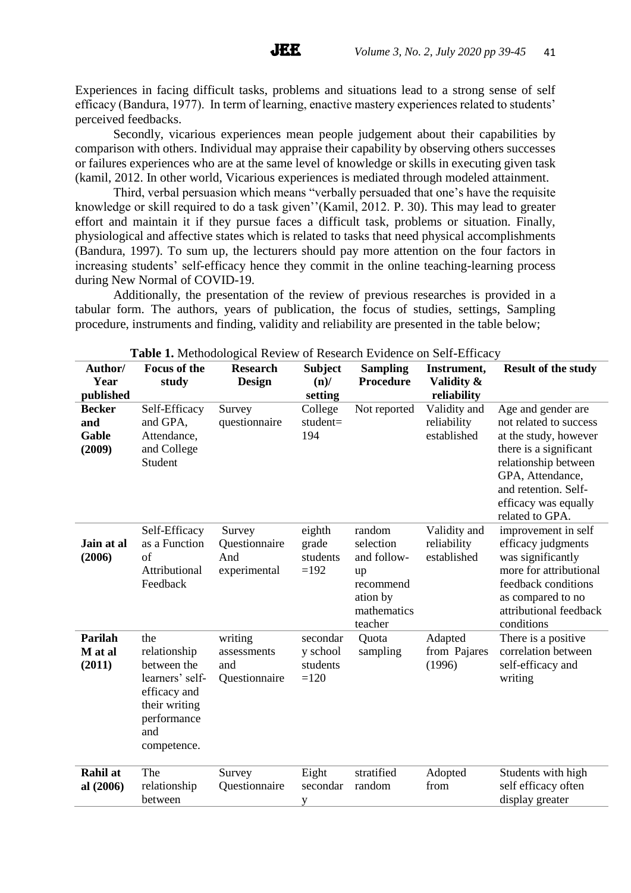Experiences in facing difficult tasks, problems and situations lead to a strong sense of self efficacy (Bandura, 1977). In term of learning, enactive mastery experiences related to students' perceived feedbacks.

Secondly, vicarious experiences mean people judgement about their capabilities by comparison with others. Individual may appraise their capability by observing others successes or failures experiences who are at the same level of knowledge or skills in executing given task (kamil, 2012. In other world, Vicarious experiences is mediated through modeled attainment.

Third, verbal persuasion which means "verbally persuaded that one's have the requisite knowledge or skill required to do a task given''(Kamil, 2012. P. 30). This may lead to greater effort and maintain it if they pursue faces a difficult task, problems or situation. Finally, physiological and affective states which is related to tasks that need physical accomplishments (Bandura, 1997). To sum up, the lecturers should pay more attention on the four factors in increasing students' self-efficacy hence they commit in the online teaching-learning process during New Normal of COVID-19.

Additionally, the presentation of the review of previous researches is provided in a tabular form. The authors, years of publication, the focus of studies, settings, Sampling procedure, instruments and finding, validity and reliability are presented in the table below;

| Author/<br>Year<br>published            | <b>Focus of the</b><br>study                                                                                                | <b>Research</b><br><b>Design</b>               | <b>Subject</b><br>$(n)$ /<br>setting       | <b>Sampling</b><br><b>Procedure</b>                                                         | Instrument,<br>Validity &<br>reliability   | <b>Result of the study</b>                                                                                                                                                                                     |
|-----------------------------------------|-----------------------------------------------------------------------------------------------------------------------------|------------------------------------------------|--------------------------------------------|---------------------------------------------------------------------------------------------|--------------------------------------------|----------------------------------------------------------------------------------------------------------------------------------------------------------------------------------------------------------------|
| <b>Becker</b><br>and<br>Gable<br>(2009) | Self-Efficacy<br>and GPA,<br>Attendance,<br>and College<br>Student                                                          | Survey<br>questionnaire                        | College<br>student=<br>194                 | Not reported                                                                                | Validity and<br>reliability<br>established | Age and gender are<br>not related to success<br>at the study, however<br>there is a significant<br>relationship between<br>GPA, Attendance,<br>and retention. Self-<br>efficacy was equally<br>related to GPA. |
| Jain at al<br>(2006)                    | Self-Efficacy<br>as a Function<br>of<br>Attributional<br>Feedback                                                           | Survey<br>Questionnaire<br>And<br>experimental | eighth<br>grade<br>students<br>$=192$      | random<br>selection<br>and follow-<br>up<br>recommend<br>ation by<br>mathematics<br>teacher | Validity and<br>reliability<br>established | improvement in self<br>efficacy judgments<br>was significantly<br>more for attributional<br>feedback conditions<br>as compared to no<br>attributional feedback<br>conditions                                   |
| <b>Parilah</b><br>M at al<br>(2011)     | the<br>relationship<br>between the<br>learners' self-<br>efficacy and<br>their writing<br>performance<br>and<br>competence. | writing<br>assessments<br>and<br>Questionnaire | secondar<br>y school<br>students<br>$=120$ | Quota<br>sampling                                                                           | Adapted<br>from Pajares<br>(1996)          | There is a positive<br>correlation between<br>self-efficacy and<br>writing                                                                                                                                     |
| <b>Rahil</b> at<br>al (2006)            | The<br>relationship<br>between                                                                                              | Survey<br>Questionnaire                        | Eight<br>secondar<br>у                     | stratified<br>random                                                                        | Adopted<br>from                            | Students with high<br>self efficacy often<br>display greater                                                                                                                                                   |

**Table 1.** Methodological Review of Research Evidence on Self-Efficacy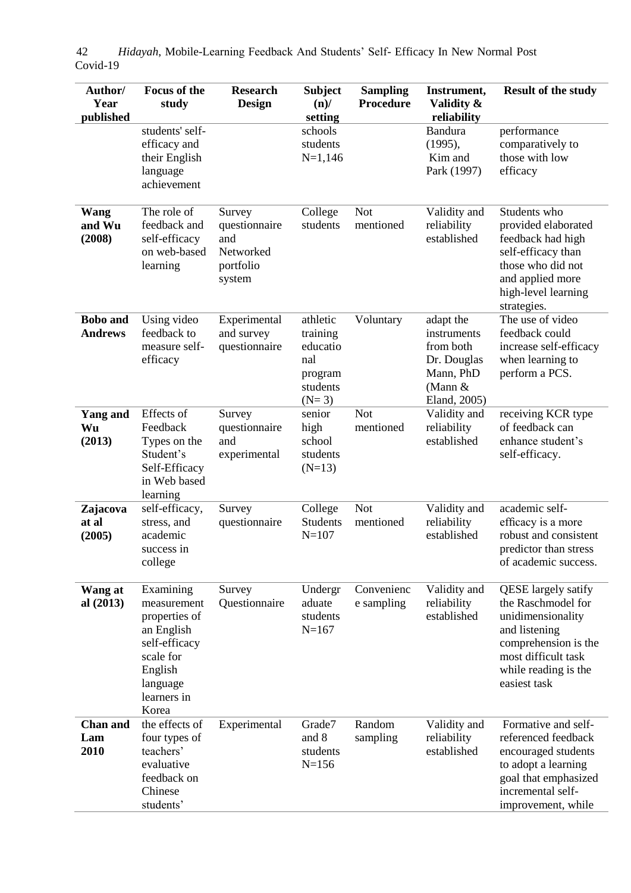| Author/<br>Year<br>published      | <b>Focus of the</b><br>study                                                                                                         | <b>Research</b><br><b>Design</b>                                   | <b>Subject</b><br>$(n)$ /<br>setting                                      | <b>Sampling</b><br><b>Procedure</b> | Instrument,<br>Validity &<br>reliability                                                       | <b>Result of the study</b>                                                                                                                                                    |
|-----------------------------------|--------------------------------------------------------------------------------------------------------------------------------------|--------------------------------------------------------------------|---------------------------------------------------------------------------|-------------------------------------|------------------------------------------------------------------------------------------------|-------------------------------------------------------------------------------------------------------------------------------------------------------------------------------|
|                                   | students' self-<br>efficacy and<br>their English<br>language<br>achievement                                                          |                                                                    | schools<br>students<br>$N=1,146$                                          |                                     | <b>Bandura</b><br>(1995),<br>Kim and<br>Park (1997)                                            | performance<br>comparatively to<br>those with low<br>efficacy                                                                                                                 |
| Wang<br>and Wu<br>(2008)          | The role of<br>feedback and<br>self-efficacy<br>on web-based<br>learning                                                             | Survey<br>questionnaire<br>and<br>Networked<br>portfolio<br>system | College<br>students                                                       | <b>Not</b><br>mentioned             | Validity and<br>reliability<br>established                                                     | Students who<br>provided elaborated<br>feedback had high<br>self-efficacy than<br>those who did not<br>and applied more<br>high-level learning<br>strategies.                 |
| <b>Bobo</b> and<br><b>Andrews</b> | Using video<br>feedback to<br>measure self-<br>efficacy                                                                              | Experimental<br>and survey<br>questionnaire                        | athletic<br>training<br>educatio<br>nal<br>program<br>students<br>$(N=3)$ | Voluntary                           | adapt the<br>instruments<br>from both<br>Dr. Douglas<br>Mann, PhD<br>(Mann $&$<br>Eland, 2005) | The use of video<br>feedback could<br>increase self-efficacy<br>when learning to<br>perform a PCS.                                                                            |
| <b>Yang and</b><br>Wu<br>(2013)   | Effects of<br>Feedback<br>Types on the<br>Student's<br>Self-Efficacy<br>in Web based<br>learning                                     | Survey<br>questionnaire<br>and<br>experimental                     | senior<br>high<br>school<br>students<br>$(N=13)$                          | <b>Not</b><br>mentioned             | Validity and<br>reliability<br>established                                                     | receiving KCR type<br>of feedback can<br>enhance student's<br>self-efficacy.                                                                                                  |
| Zajacova<br>at al<br>(2005)       | self-efficacy,<br>stress, and<br>academic<br>success in<br>college                                                                   | Survey<br>questionnaire                                            | College<br><b>Students</b><br>$N = 107$                                   | <b>Not</b><br>mentioned             | Validity and<br>reliability<br>established                                                     | academic self-<br>efficacy is a more<br>robust and consistent<br>predictor than stress<br>of academic success.                                                                |
| Wang at<br>al (2013)              | Examining<br>measurement<br>properties of<br>an English<br>self-efficacy<br>scale for<br>English<br>language<br>learners in<br>Korea | Survey<br>Questionnaire                                            | Undergr<br>aduate<br>students<br>$N = 167$                                | Convenienc<br>e sampling            | Validity and<br>reliability<br>established                                                     | <b>QESE</b> largely satify<br>the Raschmodel for<br>unidimensionality<br>and listening<br>comprehension is the<br>most difficult task<br>while reading is the<br>easiest task |
| <b>Chan and</b><br>Lam<br>2010    | the effects of<br>four types of<br>teachers'<br>evaluative<br>feedback on<br>Chinese<br>students'                                    | Experimental                                                       | Grade7<br>and 8<br>students<br>$N = 156$                                  | Random<br>sampling                  | Validity and<br>reliability<br>established                                                     | Formative and self-<br>referenced feedback<br>encouraged students<br>to adopt a learning<br>goal that emphasized<br>incremental self-<br>improvement, while                   |

*Hidayah*, Mobile-Learning Feedback And Students' Self- Efficacy In New Normal Post Covid-19 42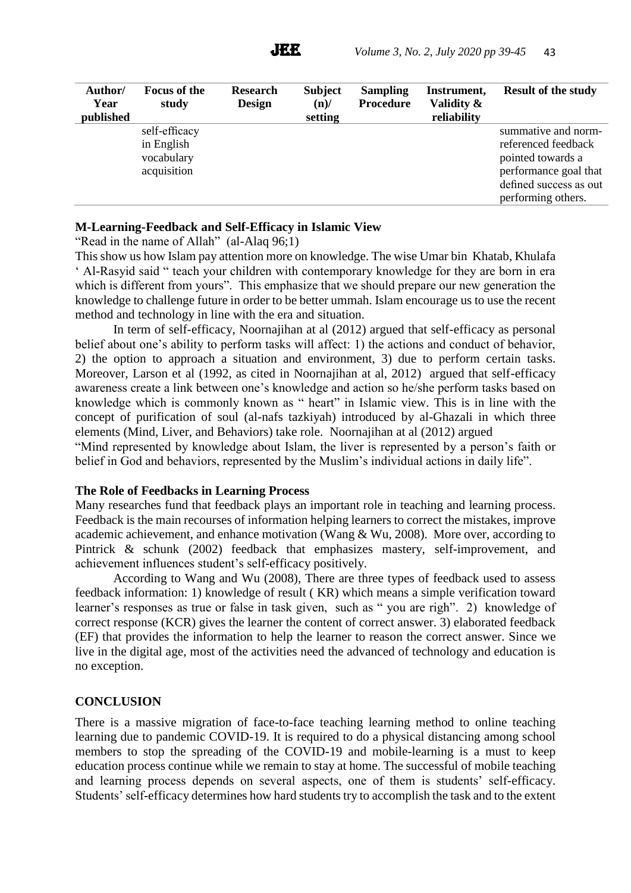JEE.

| Author/<br>Year | <b>Focus of the</b><br>study | <b>Research</b><br><b>Design</b> | <b>Subject</b><br>$(n)$ / | <b>Sampling</b><br><b>Procedure</b> | Instrument,<br>Validity & | <b>Result of the study</b> |
|-----------------|------------------------------|----------------------------------|---------------------------|-------------------------------------|---------------------------|----------------------------|
| published       |                              |                                  | setting                   |                                     | reliability               |                            |
|                 | self-efficacy                |                                  |                           |                                     |                           | summative and norm-        |
|                 | in English                   |                                  |                           |                                     |                           | referenced feedback        |
|                 | vocabulary                   |                                  |                           |                                     |                           | pointed towards a          |
|                 | acquisition                  |                                  |                           |                                     |                           | performance goal that      |
|                 |                              |                                  |                           |                                     |                           | defined success as out     |
|                 |                              |                                  |                           |                                     |                           | performing others.         |

## **M-Learning-Feedback and Self-Efficacy in Islamic View**

"Read in the name of Allah" (al-Alaq 96;1)

This show us how Islam pay attention more on knowledge. The wise Umar bin Khatab, Khulafa ' Al-Rasyid said " teach your children with contemporary knowledge for they are born in era which is different from yours". This emphasize that we should prepare our new generation the knowledge to challenge future in order to be better ummah. Islam encourage us to use the recent method and technology in line with the era and situation.

In term of self-efficacy, Noornajihan at al (2012) argued that self-efficacy as personal belief about one's ability to perform tasks will affect: 1) the actions and conduct of behavior, 2) the option to approach a situation and environment, 3) due to perform certain tasks. Moreover, Larson et al (1992, as cited in Noornajihan at al, 2012) argued that self-efficacy awareness create a link between one's knowledge and action so he/she perform tasks based on knowledge which is commonly known as " heart" in Islamic view. This is in line with the concept of purification of soul (al-nafs tazkiyah) introduced by al-Ghazali in which three elements (Mind, Liver, and Behaviors) take role. Noornajihan at al (2012) argued

"Mind represented by knowledge about Islam, the liver is represented by a person's faith or belief in God and behaviors, represented by the Muslim's individual actions in daily life".

#### **The Role of Feedbacks in Learning Process**

Many researches fund that feedback plays an important role in teaching and learning process. Feedback is the main recourses of information helping learners to correct the mistakes, improve academic achievement, and enhance motivation (Wang & Wu, 2008). More over, according to Pintrick & schunk (2002) feedback that emphasizes mastery, self-improvement, and achievement influences student's self-efficacy positively.

According to Wang and Wu (2008), There are three types of feedback used to assess feedback information: 1) knowledge of result ( KR) which means a simple verification toward learner's responses as true or false in task given, such as " you are righ". 2) knowledge of correct response (KCR) gives the learner the content of correct answer. 3) elaborated feedback (EF) that provides the information to help the learner to reason the correct answer. Since we live in the digital age, most of the activities need the advanced of technology and education is no exception.

#### **CONCLUSION**

There is a massive migration of face-to-face teaching learning method to online teaching learning due to pandemic COVID-19. It is required to do a physical distancing among school members to stop the spreading of the COVID-19 and mobile-learning is a must to keep education process continue while we remain to stay at home. The successful of mobile teaching and learning process depends on several aspects, one of them is students' self-efficacy. Students' self-efficacy determines how hard students try to accomplish the task and to the extent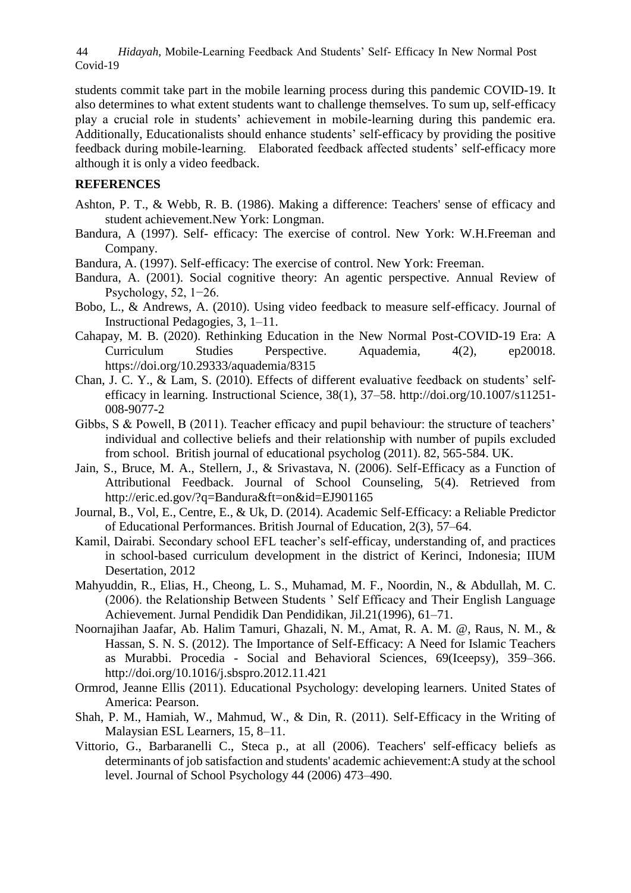*Hidayah*, Mobile-Learning Feedback And Students' Self- Efficacy In New Normal Post Covid-19 44

students commit take part in the mobile learning process during this pandemic COVID-19. It also determines to what extent students want to challenge themselves. To sum up, self-efficacy play a crucial role in students' achievement in mobile-learning during this pandemic era. Additionally, Educationalists should enhance students' self-efficacy by providing the positive feedback during mobile-learning. Elaborated feedback affected students' self-efficacy more although it is only a video feedback.

# **REFERENCES**

- Ashton, P. T., & Webb, R. B. (1986). Making a difference: Teachers' sense of efficacy and student achievement.New York: Longman.
- Bandura, A (1997). Self- efficacy: The exercise of control. New York: W.H.Freeman and Company.
- Bandura, A. (1997). Self-efficacy: The exercise of control. New York: Freeman.
- Bandura, A. (2001). Social cognitive theory: An agentic perspective. Annual Review of Psychology, 52, 1−26.
- Bobo, L., & Andrews, A. (2010). Using video feedback to measure self-efficacy. Journal of Instructional Pedagogies, 3, 1–11.
- Cahapay, M. B. (2020). Rethinking Education in the New Normal Post-COVID-19 Era: A Curriculum Studies Perspective. Aquademia, 4(2), ep20018. https://doi.org/10.29333/aquademia/8315
- Chan, J. C. Y., & Lam, S. (2010). Effects of different evaluative feedback on students' selfefficacy in learning. Instructional Science, 38(1), 37–58. http://doi.org/10.1007/s11251- 008-9077-2
- Gibbs, S & Powell, B (2011). Teacher efficacy and pupil behaviour: the structure of teachers' individual and collective beliefs and their relationship with number of pupils excluded from school. British journal of educational psycholog (2011). 82, 565-584. UK.
- Jain, S., Bruce, M. A., Stellern, J., & Srivastava, N. (2006). Self-Efficacy as a Function of Attributional Feedback. Journal of School Counseling, 5(4). Retrieved from http://eric.ed.gov/?q=Bandura&ft=on&id=EJ901165
- Journal, B., Vol, E., Centre, E., & Uk, D. (2014). Academic Self-Efficacy: a Reliable Predictor of Educational Performances. British Journal of Education, 2(3), 57–64.
- Kamil, Dairabi. Secondary school EFL teacher's self-efficay, understanding of, and practices in school-based curriculum development in the district of Kerinci, Indonesia; IIUM Desertation, 2012
- Mahyuddin, R., Elias, H., Cheong, L. S., Muhamad, M. F., Noordin, N., & Abdullah, M. C. (2006). the Relationship Between Students ' Self Efficacy and Their English Language Achievement. Jurnal Pendidik Dan Pendidikan, Jil.21(1996), 61–71.
- Noornajihan Jaafar, Ab. Halim Tamuri, Ghazali, N. M., Amat, R. A. M. @, Raus, N. M., & Hassan, S. N. S. (2012). The Importance of Self-Efficacy: A Need for Islamic Teachers as Murabbi. Procedia - Social and Behavioral Sciences, 69(Iceepsy), 359–366. http://doi.org/10.1016/j.sbspro.2012.11.421
- Ormrod, Jeanne Ellis (2011). Educational Psychology: developing learners. United States of America: Pearson.
- Shah, P. M., Hamiah, W., Mahmud, W., & Din, R. (2011). Self-Efficacy in the Writing of Malaysian ESL Learners, 15, 8–11.
- Vittorio, G., Barbaranelli C., Steca p., at all (2006). Teachers' self-efficacy beliefs as determinants of job satisfaction and students' academic achievement:A study at the school level. Journal of School Psychology 44 (2006) 473–490.